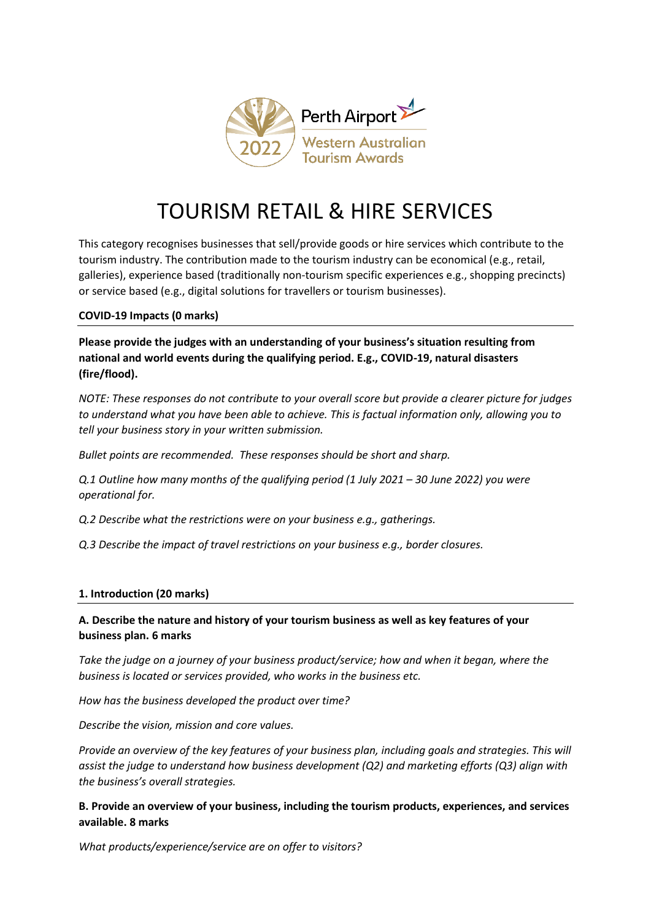

# TOURISM RETAIL & HIRE SERVICES

This category recognises businesses that sell/provide goods or hire services which contribute to the tourism industry. The contribution made to the tourism industry can be economical (e.g., retail, galleries), experience based (traditionally non-tourism specific experiences e.g., shopping precincts) or service based (e.g., digital solutions for travellers or tourism businesses).

#### **COVID-19 Impacts (0 marks)**

**Please provide the judges with an understanding of your business's situation resulting from national and world events during the qualifying period. E.g., COVID-19, natural disasters (fire/flood).**

*NOTE: These responses do not contribute to your overall score but provide a clearer picture for judges to understand what you have been able to achieve. This is factual information only, allowing you to tell your business story in your written submission.* 

*Bullet points are recommended. These responses should be short and sharp.*

*Q.1 Outline how many months of the qualifying period (1 July 2021 – 30 June 2022) you were operational for.*

*Q.2 Describe what the restrictions were on your business e.g., gatherings.*

*Q.3 Describe the impact of travel restrictions on your business e.g., border closures.*

## **1. Introduction (20 marks)**

## **A. Describe the nature and history of your tourism business as well as key features of your business plan. 6 marks**

*Take the judge on a journey of your business product/service; how and when it began, where the business is located or services provided, who works in the business etc.* 

*How has the business developed the product over time?*

*Describe the vision, mission and core values.* 

*Provide an overview of the key features of your business plan, including goals and strategies. This will assist the judge to understand how business development (Q2) and marketing efforts (Q3) align with the business's overall strategies.* 

## **B. Provide an overview of your business, including the tourism products, experiences, and services available. 8 marks**

*What products/experience/service are on offer to visitors?*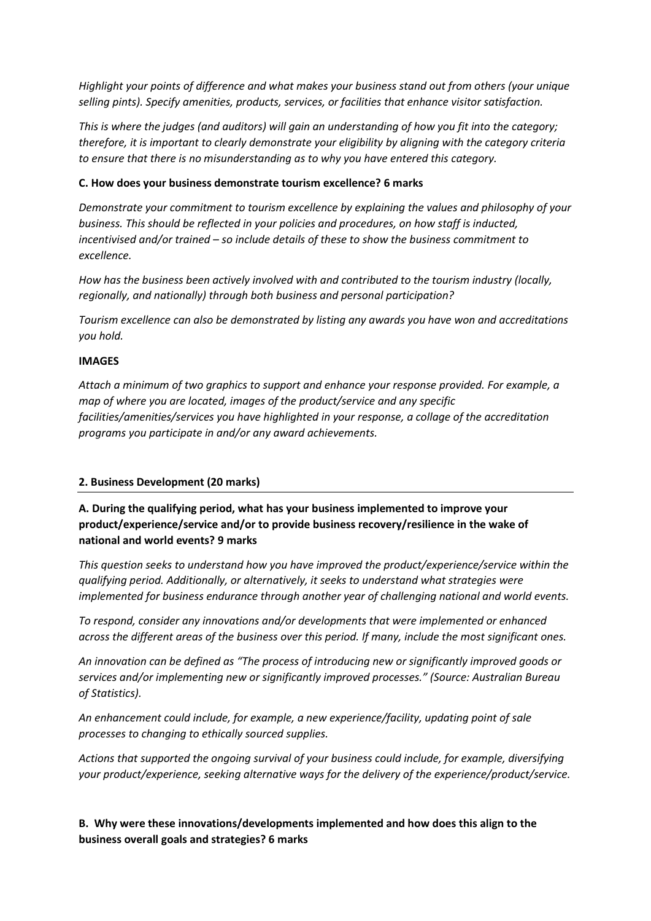*Highlight your points of difference and what makes your business stand out from others (your unique selling pints). Specify amenities, products, services, or facilities that enhance visitor satisfaction.*

*This is where the judges (and auditors) will gain an understanding of how you fit into the category; therefore, it is important to clearly demonstrate your eligibility by aligning with the category criteria to ensure that there is no misunderstanding as to why you have entered this category.*

#### **C. How does your business demonstrate tourism excellence? 6 marks**

*Demonstrate your commitment to tourism excellence by explaining the values and philosophy of your business. This should be reflected in your policies and procedures, on how staff is inducted, incentivised and/or trained – so include details of these to show the business commitment to excellence.*

*How has the business been actively involved with and contributed to the tourism industry (locally, regionally, and nationally) through both business and personal participation?*

*Tourism excellence can also be demonstrated by listing any awards you have won and accreditations you hold.* 

#### **IMAGES**

*Attach a minimum of two graphics to support and enhance your response provided. For example, a map of where you are located, images of the product/service and any specific facilities/amenities/services you have highlighted in your response, a collage of the accreditation programs you participate in and/or any award achievements.* 

#### **2. Business Development (20 marks)**

## **A. During the qualifying period, what has your business implemented to improve your product/experience/service and/or to provide business recovery/resilience in the wake of national and world events? 9 marks**

*This question seeks to understand how you have improved the product/experience/service within the qualifying period. Additionally, or alternatively, it seeks to understand what strategies were implemented for business endurance through another year of challenging national and world events.* 

*To respond, consider any innovations and/or developments that were implemented or enhanced across the different areas of the business over this period. If many, include the most significant ones.* 

*An innovation can be defined as "The process of introducing new or significantly improved goods or services and/or implementing new or significantly improved processes." (Source: Australian Bureau of Statistics).*

*An enhancement could include, for example, a new experience/facility, updating point of sale processes to changing to ethically sourced supplies.* 

*Actions that supported the ongoing survival of your business could include, for example, diversifying your product/experience, seeking alternative ways for the delivery of the experience/product/service.* 

**B. Why were these innovations/developments implemented and how does this align to the business overall goals and strategies? 6 marks**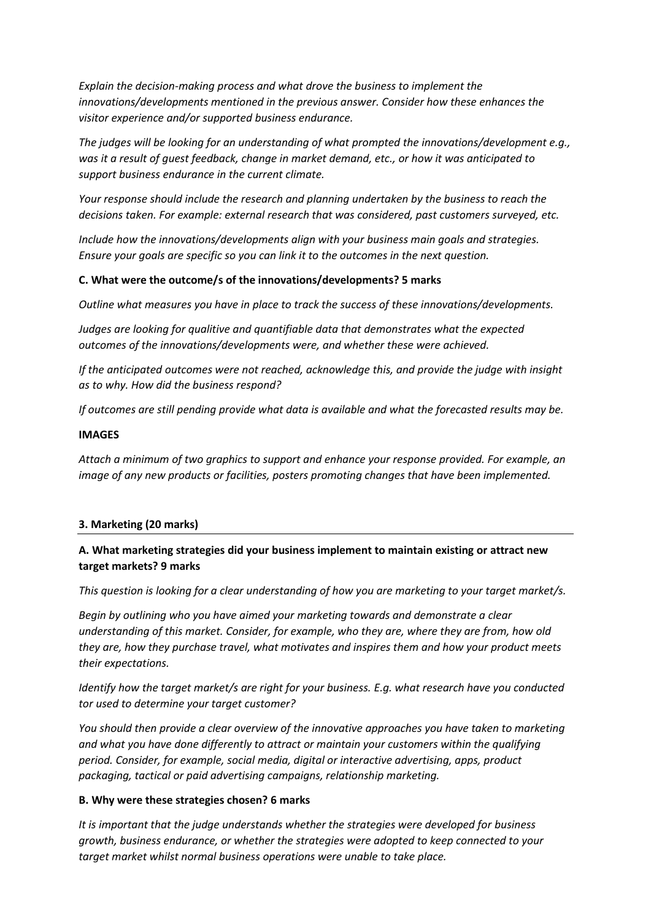*Explain the decision-making process and what drove the business to implement the innovations/developments mentioned in the previous answer. Consider how these enhances the visitor experience and/or supported business endurance.* 

*The judges will be looking for an understanding of what prompted the innovations/development e.g., was it a result of guest feedback, change in market demand, etc., or how it was anticipated to support business endurance in the current climate.* 

*Your response should include the research and planning undertaken by the business to reach the decisions taken. For example: external research that was considered, past customers surveyed, etc.* 

*Include how the innovations/developments align with your business main goals and strategies. Ensure your goals are specific so you can link it to the outcomes in the next question.*

#### **C. What were the outcome/s of the innovations/developments? 5 marks**

*Outline what measures you have in place to track the success of these innovations/developments.*

*Judges are looking for qualitive and quantifiable data that demonstrates what the expected outcomes of the innovations/developments were, and whether these were achieved.*

*If the anticipated outcomes were not reached, acknowledge this, and provide the judge with insight as to why. How did the business respond?*

*If outcomes are still pending provide what data is available and what the forecasted results may be.*

#### **IMAGES**

*Attach a minimum of two graphics to support and enhance your response provided. For example, an image of any new products or facilities, posters promoting changes that have been implemented.* 

#### **3. Marketing (20 marks)**

## **A. What marketing strategies did your business implement to maintain existing or attract new target markets? 9 marks**

*This question is looking for a clear understanding of how you are marketing to your target market/s.*

*Begin by outlining who you have aimed your marketing towards and demonstrate a clear understanding of this market. Consider, for example, who they are, where they are from, how old they are, how they purchase travel, what motivates and inspires them and how your product meets their expectations.* 

*Identify how the target market/s are right for your business. E.g. what research have you conducted tor used to determine your target customer?*

*You should then provide a clear overview of the innovative approaches you have taken to marketing and what you have done differently to attract or maintain your customers within the qualifying period. Consider, for example, social media, digital or interactive advertising, apps, product packaging, tactical or paid advertising campaigns, relationship marketing.*

#### **B. Why were these strategies chosen? 6 marks**

*It is important that the judge understands whether the strategies were developed for business growth, business endurance, or whether the strategies were adopted to keep connected to your target market whilst normal business operations were unable to take place.*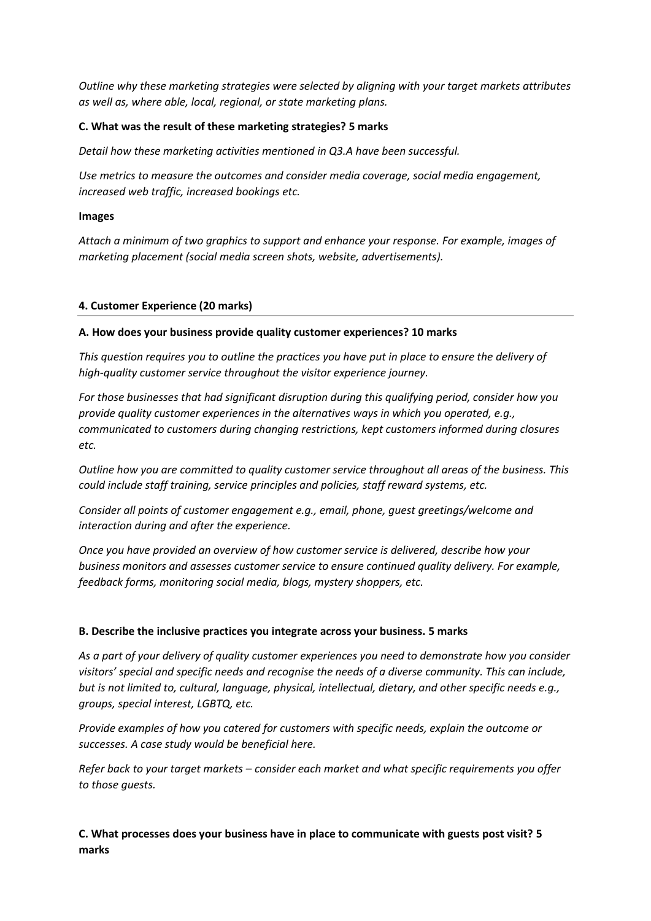*Outline why these marketing strategies were selected by aligning with your target markets attributes as well as, where able, local, regional, or state marketing plans.* 

#### **C. What was the result of these marketing strategies? 5 marks**

*Detail how these marketing activities mentioned in Q3.A have been successful.* 

*Use metrics to measure the outcomes and consider media coverage, social media engagement, increased web traffic, increased bookings etc.* 

#### **Images**

*Attach a minimum of two graphics to support and enhance your response. For example, images of marketing placement (social media screen shots, website, advertisements).*

#### **4. Customer Experience (20 marks)**

#### **A. How does your business provide quality customer experiences? 10 marks**

*This question requires you to outline the practices you have put in place to ensure the delivery of high-quality customer service throughout the visitor experience journey.* 

*For those businesses that had significant disruption during this qualifying period, consider how you provide quality customer experiences in the alternatives ways in which you operated, e.g., communicated to customers during changing restrictions, kept customers informed during closures etc.* 

*Outline how you are committed to quality customer service throughout all areas of the business. This could include staff training, service principles and policies, staff reward systems, etc.* 

*Consider all points of customer engagement e.g., email, phone, guest greetings/welcome and interaction during and after the experience.*

*Once you have provided an overview of how customer service is delivered, describe how your business monitors and assesses customer service to ensure continued quality delivery. For example, feedback forms, monitoring social media, blogs, mystery shoppers, etc.* 

#### **B. Describe the inclusive practices you integrate across your business. 5 marks**

*As a part of your delivery of quality customer experiences you need to demonstrate how you consider visitors' special and specific needs and recognise the needs of a diverse community. This can include, but is not limited to, cultural, language, physical, intellectual, dietary, and other specific needs e.g., groups, special interest, LGBTQ, etc.*

*Provide examples of how you catered for customers with specific needs, explain the outcome or successes. A case study would be beneficial here.* 

*Refer back to your target markets – consider each market and what specific requirements you offer to those guests.*

**C. What processes does your business have in place to communicate with guests post visit? 5 marks**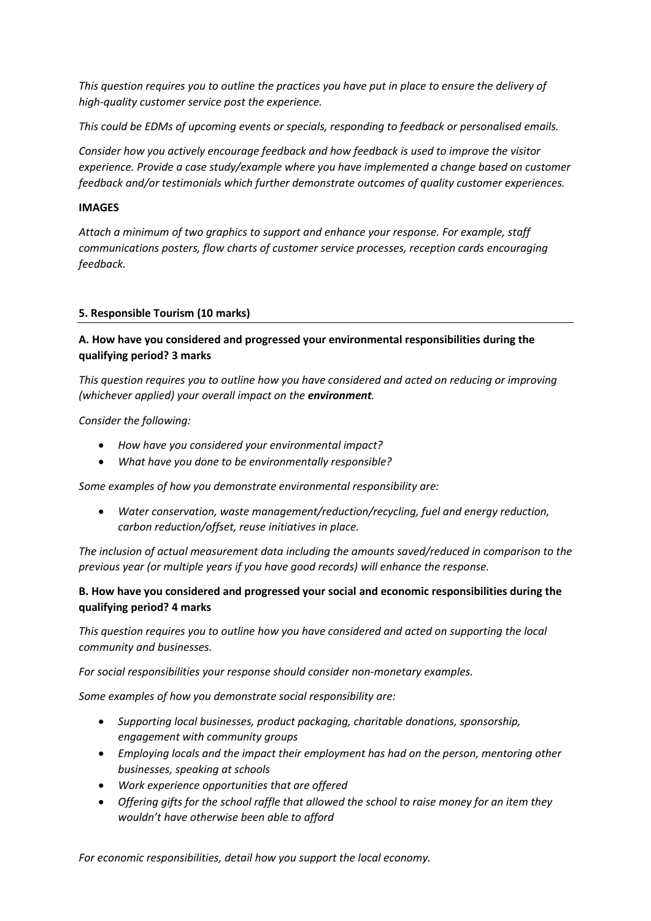*This question requires you to outline the practices you have put in place to ensure the delivery of high-quality customer service post the experience.* 

*This could be EDMs of upcoming events or specials, responding to feedback or personalised emails.*

*Consider how you actively encourage feedback and how feedback is used to improve the visitor experience. Provide a case study/example where you have implemented a change based on customer feedback and/or testimonials which further demonstrate outcomes of quality customer experiences.* 

### **IMAGES**

*Attach a minimum of two graphics to support and enhance your response. For example, staff communications posters, flow charts of customer service processes, reception cards encouraging feedback.* 

## **5. Responsible Tourism (10 marks)**

# **A. How have you considered and progressed your environmental responsibilities during the qualifying period? 3 marks**

*This question requires you to outline how you have considered and acted on reducing or improving (whichever applied) your overall impact on the environment.* 

*Consider the following:*

- *How have you considered your environmental impact?*
- *What have you done to be environmentally responsible?*

*Some examples of how you demonstrate environmental responsibility are:*

• *Water conservation, waste management/reduction/recycling, fuel and energy reduction, carbon reduction/offset, reuse initiatives in place.*

*The inclusion of actual measurement data including the amounts saved/reduced in comparison to the previous year (or multiple years if you have good records) will enhance the response.*

## **B. How have you considered and progressed your social and economic responsibilities during the qualifying period? 4 marks**

*This question requires you to outline how you have considered and acted on supporting the local community and businesses.* 

*For social responsibilities your response should consider non-monetary examples.*

*Some examples of how you demonstrate social responsibility are:*

- *Supporting local businesses, product packaging, charitable donations, sponsorship, engagement with community groups*
- *Employing locals and the impact their employment has had on the person, mentoring other businesses, speaking at schools*
- *Work experience opportunities that are offered*
- *Offering gifts for the school raffle that allowed the school to raise money for an item they wouldn't have otherwise been able to afford*

*For economic responsibilities, detail how you support the local economy.*